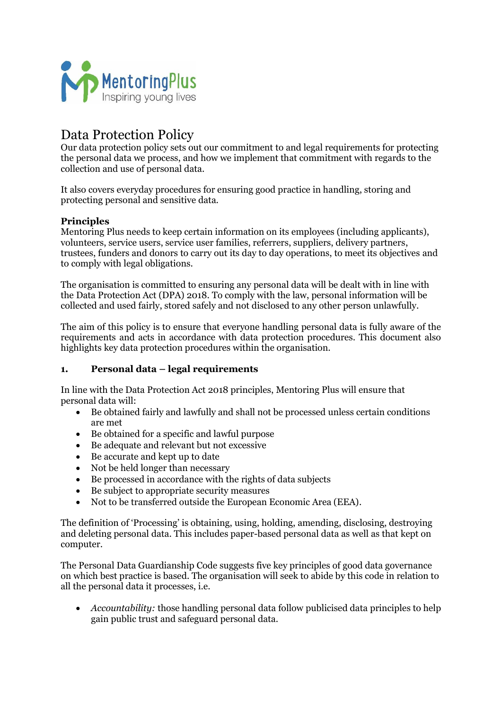

# Data Protection Policy

Our data protection policy sets out our commitment to and legal requirements for protecting the personal data we process, and how we implement that commitment with regards to the collection and use of personal data.

It also covers everyday procedures for ensuring good practice in handling, storing and protecting personal and sensitive data.

# **Principles**

Mentoring Plus needs to keep certain information on its employees (including applicants), volunteers, service users, service user families, referrers, suppliers, delivery partners, trustees, funders and donors to carry out its day to day operations, to meet its objectives and to comply with legal obligations.

The organisation is committed to ensuring any personal data will be dealt with in line with the Data Protection Act (DPA) 2018. To comply with the law, personal information will be collected and used fairly, stored safely and not disclosed to any other person unlawfully.

The aim of this policy is to ensure that everyone handling personal data is fully aware of the requirements and acts in accordance with data protection procedures. This document also highlights key data protection procedures within the organisation.

#### **1. Personal data – legal requirements**

In line with the Data Protection Act 2018 principles, Mentoring Plus will ensure that personal data will:

- Be obtained fairly and lawfully and shall not be processed unless certain conditions are met
- Be obtained for a specific and lawful purpose
- Be adequate and relevant but not excessive
- Be accurate and kept up to date
- Not be held longer than necessary
- Be processed in accordance with the rights of data subjects
- Be subject to appropriate security measures
- Not to be transferred outside the European Economic Area (EEA).

The definition of 'Processing' is obtaining, using, holding, amending, disclosing, destroying and deleting personal data. This includes paper-based personal data as well as that kept on computer.

The Personal Data Guardianship Code suggests five key principles of good data governance on which best practice is based. The organisation will seek to abide by this code in relation to all the personal data it processes, i.e.

• *Accountability:* those handling personal data follow publicised data principles to help gain public trust and safeguard personal data.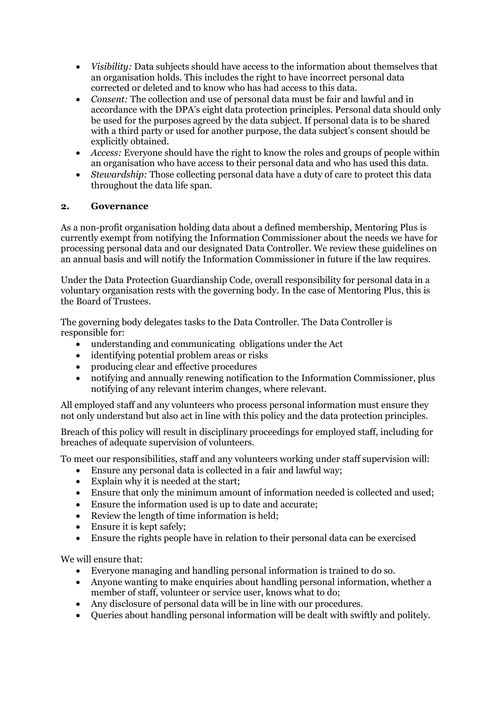- *Visibility:* Data subjects should have access to the information about themselves that an organisation holds. This includes the right to have incorrect personal data corrected or deleted and to know who has had access to this data.
- *Consent:* The collection and use of personal data must be fair and lawful and in accordance with the DPA's eight data protection principles. Personal data should only be used for the purposes agreed by the data subject. If personal data is to be shared with a third party or used for another purpose, the data subject's consent should be explicitly obtained.
- *Access:* Everyone should have the right to know the roles and groups of people within an organisation who have access to their personal data and who has used this data.
- *Stewardship:* Those collecting personal data have a duty of care to protect this data throughout the data life span.

# **2. Governance**

As a non-profit organisation holding data about a defined membership, Mentoring Plus is currently exempt from notifying the Information Commissioner about the needs we have for processing personal data and our designated Data Controller. We review these guidelines on an annual basis and will notify the Information Commissioner in future if the law requires.

Under the Data Protection Guardianship Code, overall responsibility for personal data in a voluntary organisation rests with the governing body. In the case of Mentoring Plus, this is the Board of Trustees.

The governing body delegates tasks to the Data Controller. The Data Controller is responsible for:

- understanding and communicating obligations under the Act
- identifying potential problem areas or risks
- producing clear and effective procedures
- notifying and annually renewing notification to the Information Commissioner, plus notifying of any relevant interim changes, where relevant.

All employed staff and any volunteers who process personal information must ensure they not only understand but also act in line with this policy and the data protection principles.

Breach of this policy will result in disciplinary proceedings for employed staff, including for breaches of adequate supervision of volunteers.

To meet our responsibilities, staff and any volunteers working under staff supervision will:

- Ensure any personal data is collected in a fair and lawful way;
- Explain why it is needed at the start;
- Ensure that only the minimum amount of information needed is collected and used;
- Ensure the information used is up to date and accurate;
- Review the length of time information is held;
- Ensure it is kept safely;
- Ensure the rights people have in relation to their personal data can be exercised

We will ensure that:

- Everyone managing and handling personal information is trained to do so.
- Anyone wanting to make enquiries about handling personal information, whether a member of staff, volunteer or service user, knows what to do;
- Any disclosure of personal data will be in line with our procedures.
- Queries about handling personal information will be dealt with swiftly and politely.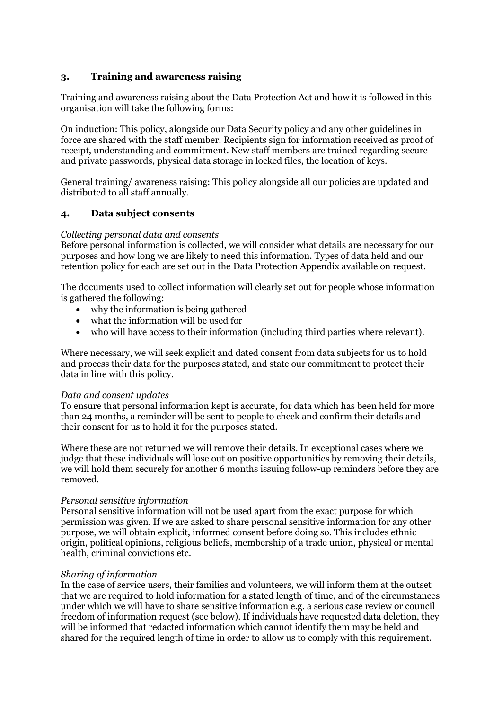## **3. Training and awareness raising**

Training and awareness raising about the Data Protection Act and how it is followed in this organisation will take the following forms:

On induction: This policy, alongside our Data Security policy and any other guidelines in force are shared with the staff member. Recipients sign for information received as proof of receipt, understanding and commitment. New staff members are trained regarding secure and private passwords, physical data storage in locked files, the location of keys.

General training/ awareness raising: This policy alongside all our policies are updated and distributed to all staff annually.

#### **4. Data subject consents**

#### *Collecting personal data and consents*

Before personal information is collected, we will consider what details are necessary for our purposes and how long we are likely to need this information. Types of data held and our retention policy for each are set out in the Data Protection Appendix available on request.

The documents used to collect information will clearly set out for people whose information is gathered the following:

- why the information is being gathered
- what the information will be used for
- who will have access to their information (including third parties where relevant).

Where necessary, we will seek explicit and dated consent from data subjects for us to hold and process their data for the purposes stated, and state our commitment to protect their data in line with this policy.

#### *Data and consent updates*

To ensure that personal information kept is accurate, for data which has been held for more than 24 months, a reminder will be sent to people to check and confirm their details and their consent for us to hold it for the purposes stated.

Where these are not returned we will remove their details. In exceptional cases where we judge that these individuals will lose out on positive opportunities by removing their details, we will hold them securely for another 6 months issuing follow-up reminders before they are removed.

#### *Personal sensitive information*

Personal sensitive information will not be used apart from the exact purpose for which permission was given. If we are asked to share personal sensitive information for any other purpose, we will obtain explicit, informed consent before doing so. This includes ethnic origin, political opinions, religious beliefs, membership of a trade union, physical or mental health, criminal convictions etc.

#### *Sharing of information*

In the case of service users, their families and volunteers, we will inform them at the outset that we are required to hold information for a stated length of time, and of the circumstances under which we will have to share sensitive information e.g. a serious case review or council freedom of information request (see below). If individuals have requested data deletion, they will be informed that redacted information which cannot identify them may be held and shared for the required length of time in order to allow us to comply with this requirement.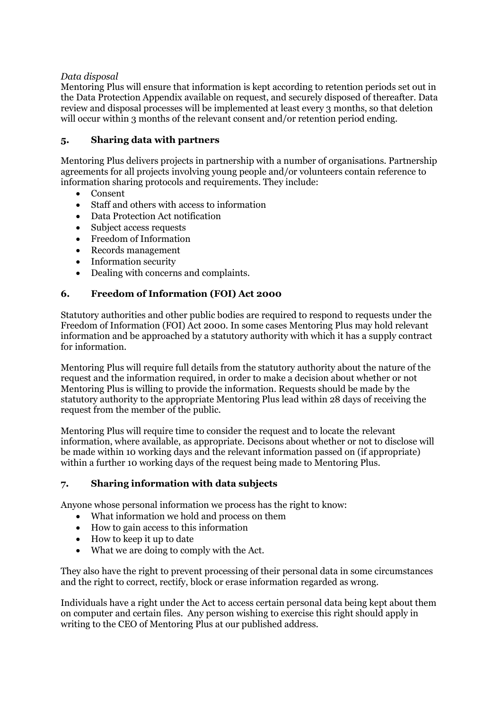# *Data disposal*

Mentoring Plus will ensure that information is kept according to retention periods set out in the Data Protection Appendix available on request, and securely disposed of thereafter. Data review and disposal processes will be implemented at least every 3 months, so that deletion will occur within 3 months of the relevant consent and/or retention period ending.

# **5. Sharing data with partners**

Mentoring Plus delivers projects in partnership with a number of organisations. Partnership agreements for all projects involving young people and/or volunteers contain reference to information sharing protocols and requirements. They include:

- Consent
- Staff and others with access to information
- Data Protection Act notification
- Subject access requests
- Freedom of Information
- Records management
- Information security
- Dealing with concerns and complaints.

# **6. Freedom of Information (FOI) Act 2000**

Statutory authorities and other public bodies are required to respond to requests under the Freedom of Information (FOI) Act 2000. In some cases Mentoring Plus may hold relevant information and be approached by a statutory authority with which it has a supply contract for information.

Mentoring Plus will require full details from the statutory authority about the nature of the request and the information required, in order to make a decision about whether or not Mentoring Plus is willing to provide the information. Requests should be made by the statutory authority to the appropriate Mentoring Plus lead within 28 days of receiving the request from the member of the public.

Mentoring Plus will require time to consider the request and to locate the relevant information, where available, as appropriate. Decisons about whether or not to disclose will be made within 10 working days and the relevant information passed on (if appropriate) within a further 10 working days of the request being made to Mentoring Plus.

#### **7. Sharing information with data subjects**

Anyone whose personal information we process has the right to know:

- What information we hold and process on them
- How to gain access to this information
- How to keep it up to date
- What we are doing to comply with the Act.

They also have the right to prevent processing of their personal data in some circumstances and the right to correct, rectify, block or erase information regarded as wrong.

Individuals have a right under the Act to access certain personal data being kept about them on computer and certain files. Any person wishing to exercise this right should apply in writing to the CEO of Mentoring Plus at our published address.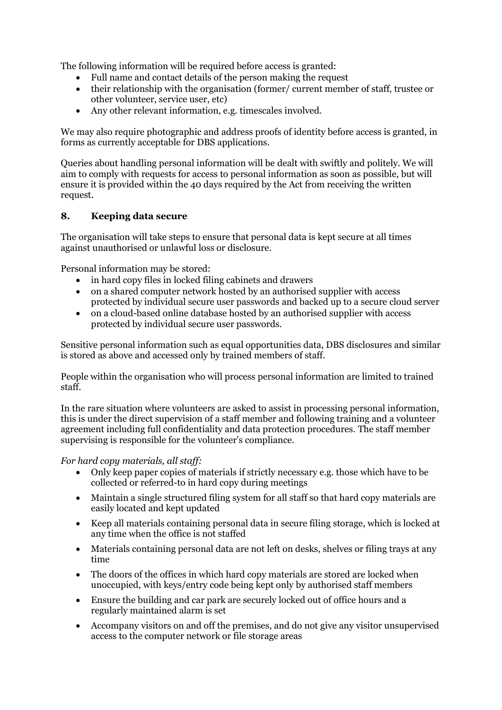The following information will be required before access is granted:

- Full name and contact details of the person making the request
- their relationship with the organisation (former/ current member of staff, trustee or other volunteer, service user, etc)
- Any other relevant information, e.g. timescales involved.

We may also require photographic and address proofs of identity before access is granted, in forms as currently acceptable for DBS applications.

Queries about handling personal information will be dealt with swiftly and politely. We will aim to comply with requests for access to personal information as soon as possible, but will ensure it is provided within the 40 days required by the Act from receiving the written request.

# **8. Keeping data secure**

The organisation will take steps to ensure that personal data is kept secure at all times against unauthorised or unlawful loss or disclosure.

Personal information may be stored:

- in hard copy files in locked filing cabinets and drawers
- on a shared computer network hosted by an authorised supplier with access protected by individual secure user passwords and backed up to a secure cloud server
- on a cloud-based online database hosted by an authorised supplier with access protected by individual secure user passwords.

Sensitive personal information such as equal opportunities data, DBS disclosures and similar is stored as above and accessed only by trained members of staff.

People within the organisation who will process personal information are limited to trained staff.

In the rare situation where volunteers are asked to assist in processing personal information, this is under the direct supervision of a staff member and following training and a volunteer agreement including full confidentiality and data protection procedures. The staff member supervising is responsible for the volunteer's compliance.

# *For hard copy materials, all staff:*

- Only keep paper copies of materials if strictly necessary e.g. those which have to be collected or referred-to in hard copy during meetings
- Maintain a single structured filing system for all staff so that hard copy materials are easily located and kept updated
- Keep all materials containing personal data in secure filing storage, which is locked at any time when the office is not staffed
- Materials containing personal data are not left on desks, shelves or filing trays at any time
- The doors of the offices in which hard copy materials are stored are locked when unoccupied, with keys/entry code being kept only by authorised staff members
- Ensure the building and car park are securely locked out of office hours and a regularly maintained alarm is set
- Accompany visitors on and off the premises, and do not give any visitor unsupervised access to the computer network or file storage areas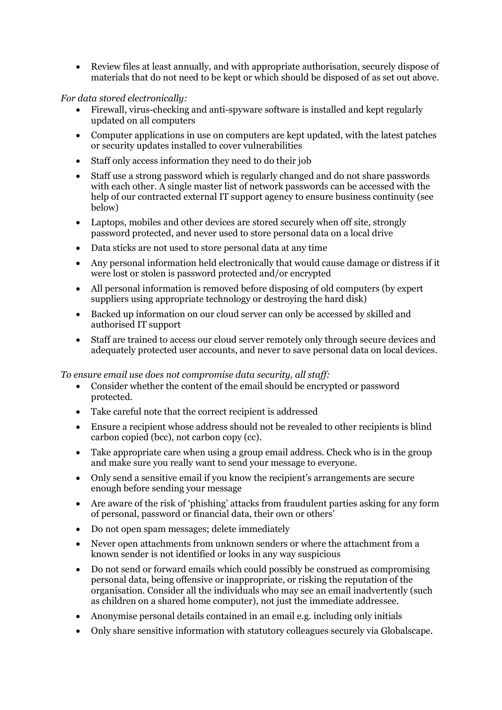• Review files at least annually, and with appropriate authorisation, securely dispose of materials that do not need to be kept or which should be disposed of as set out above.

*For data stored electronically:* 

- Firewall, virus-checking and anti-spyware software is installed and kept regularly updated on all computers
- Computer applications in use on computers are kept updated, with the latest patches or security updates installed to cover vulnerabilities
- Staff only access information they need to do their job
- Staff use a strong password which is regularly changed and do not share passwords with each other. A single master list of network passwords can be accessed with the help of our contracted external IT support agency to ensure business continuity (see below)
- Laptops, mobiles and other devices are stored securely when off site, strongly password protected, and never used to store personal data on a local drive
- Data sticks are not used to store personal data at any time
- Any personal information held electronically that would cause damage or distress if it were lost or stolen is password protected and/or encrypted
- All personal information is removed before disposing of old computers (by expert suppliers using appropriate technology or destroying the hard disk)
- Backed up information on our cloud server can only be accessed by skilled and authorised IT support
- Staff are trained to access our cloud server remotely only through secure devices and adequately protected user accounts, and never to save personal data on local devices.

#### *To ensure email use does not compromise data security, all staff:*

- Consider whether the content of the email should be encrypted or password protected.
- Take careful note that the correct recipient is addressed
- Ensure a recipient whose address should not be revealed to other recipients is blind carbon copied (bcc), not carbon copy (cc).
- Take appropriate care when using a group email address. Check who is in the group and make sure you really want to send your message to everyone.
- Only send a sensitive email if you know the recipient's arrangements are secure enough before sending your message
- Are aware of the risk of 'phishing' attacks from fraudulent parties asking for any form of personal, password or financial data, their own or others'
- Do not open spam messages; delete immediately
- Never open attachments from unknown senders or where the attachment from a known sender is not identified or looks in any way suspicious
- Do not send or forward emails which could possibly be construed as compromising personal data, being offensive or inappropriate, or risking the reputation of the organisation. Consider all the individuals who may see an email inadvertently (such as children on a shared home computer), not just the immediate addressee.
- Anonymise personal details contained in an email e.g. including only initials
- Only share sensitive information with statutory colleagues securely via Globalscape.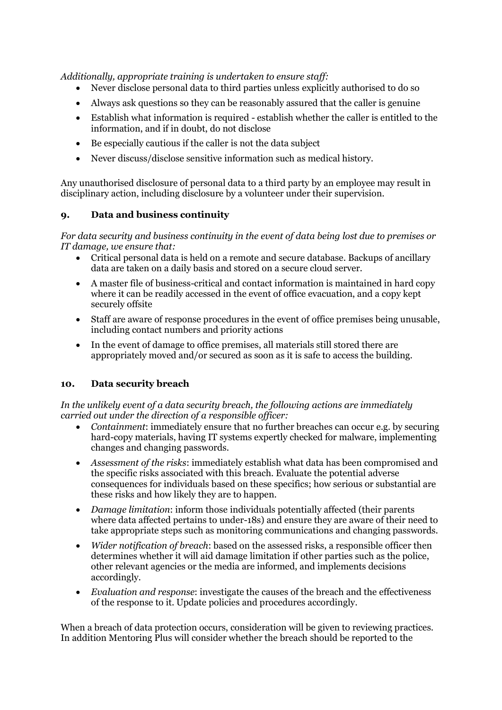*Additionally, appropriate training is undertaken to ensure staff:* 

- Never disclose personal data to third parties unless explicitly authorised to do so
- Always ask questions so they can be reasonably assured that the caller is genuine
- Establish what information is required establish whether the caller is entitled to the information, and if in doubt, do not disclose
- Be especially cautious if the caller is not the data subject
- Never discuss/disclose sensitive information such as medical history.

Any unauthorised disclosure of personal data to a third party by an employee may result in disciplinary action, including disclosure by a volunteer under their supervision.

# **9. Data and business continuity**

*For data security and business continuity in the event of data being lost due to premises or IT damage, we ensure that:* 

- Critical personal data is held on a remote and secure database. Backups of ancillary data are taken on a daily basis and stored on a secure cloud server.
- A master file of business-critical and contact information is maintained in hard copy where it can be readily accessed in the event of office evacuation, and a copy kept securely offsite
- Staff are aware of response procedures in the event of office premises being unusable, including contact numbers and priority actions
- In the event of damage to office premises, all materials still stored there are appropriately moved and/or secured as soon as it is safe to access the building.

# **10. Data security breach**

*In the unlikely event of a data security breach, the following actions are immediately carried out under the direction of a responsible officer:* 

- *Containment*: immediately ensure that no further breaches can occur e.g. by securing hard-copy materials, having IT systems expertly checked for malware, implementing changes and changing passwords.
- *Assessment of the risks*: immediately establish what data has been compromised and the specific risks associated with this breach. Evaluate the potential adverse consequences for individuals based on these specifics; how serious or substantial are these risks and how likely they are to happen.
- *Damage limitation*: inform those individuals potentially affected (their parents where data affected pertains to under-18s) and ensure they are aware of their need to take appropriate steps such as monitoring communications and changing passwords.
- *Wider notification of breach*: based on the assessed risks, a responsible officer then determines whether it will aid damage limitation if other parties such as the police, other relevant agencies or the media are informed, and implements decisions accordingly.
- *Evaluation and response*: investigate the causes of the breach and the effectiveness of the response to it. Update policies and procedures accordingly.

When a breach of data protection occurs, consideration will be given to reviewing practices. In addition Mentoring Plus will consider whether the breach should be reported to the